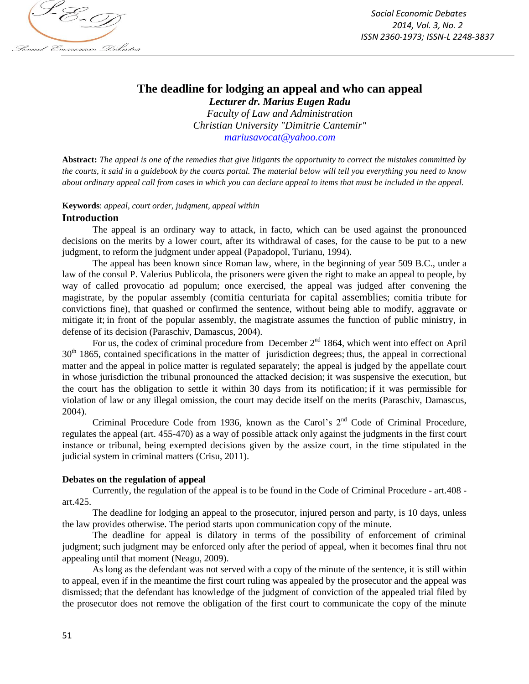

# **The deadline for lodging an appeal and who can appeal**

*Lecturer dr. Marius Eugen Radu Faculty of Law and Administration Christian University "Dimitrie Cantemir" mariusavocat@yahoo.com*

**Abstract:** *The appeal is one of the remedies that give litigants the opportunity to correct the mistakes committed by the courts, it said in a guidebook by the courts portal. The material below will tell you everything you need to know about ordinary appeal call from cases in which you can declare appeal to items that must be included in the appeal.*

#### **Keywords**: *appeal, court order, judgment, appeal within*

## **Introduction**

The appeal is an ordinary way to attack, in facto, which can be used against the pronounced decisions on the merits by a lower court, after its withdrawal of cases, for the cause to be put to a new judgment, to reform the judgment under appeal (Papadopol, Turianu, 1994).

The appeal has been known since Roman law, where, in the beginning of year 509 B.C., under a law of the consul P. Valerius Publicola, the prisoners were given the right to make an appeal to people, by way of called provocatio ad populum; once exercised, the appeal was judged after convening the magistrate, by the popular assembly (comitia centuriata for capital assemblies; comitia tribute for convictions fine), that quashed or confirmed the sentence, without being able to modify, aggravate or mitigate it; in front of the popular assembly, the magistrate assumes the function of public ministry, in defense of its decision (Paraschiv, Damascus, 2004).

For us, the codex of criminal procedure from December  $2<sup>nd</sup> 1864$ , which went into effect on April  $30<sup>th</sup>$  1865, contained specifications in the matter of jurisdiction degrees; thus, the appeal in correctional matter and the appeal in police matter is regulated separately; the appeal is judged by the appellate court in whose jurisdiction the tribunal pronounced the attacked decision; it was suspensive the execution, but the court has the obligation to settle it within 30 days from its notification; if it was permissible for violation of law or any illegal omission, the court may decide itself on the merits (Paraschiv, Damascus, 2004).

Criminal Procedure Code from 1936, known as the Carol's  $2<sup>nd</sup>$  Code of Criminal Procedure, regulates the appeal (art. 455-470) as a way of possible attack only against the judgments in the first court instance or tribunal, being exempted decisions given by the assize court, in the time stipulated in the judicial system in criminal matters (Crisu, 2011).

## **Debates on the regulation of appeal**

Currently, the regulation of the appeal is to be found in the Code of Criminal Procedure - art.408 art.425.

The deadline for lodging an appeal to the prosecutor, injured person and party, is 10 days, unless the law provides otherwise. The period starts upon communication copy of the minute.

The deadline for appeal is dilatory in terms of the possibility of enforcement of criminal judgment; such judgment may be enforced only after the period of appeal, when it becomes final thru not appealing until that moment (Neagu, 2009).

As long as the defendant was not served with a copy of the minute of the sentence, it is still within to appeal, even if in the meantime the first court ruling was appealed by the prosecutor and the appeal was dismissed; that the defendant has knowledge of the judgment of conviction of the appealed trial filed by the prosecutor does not remove the obligation of the first court to communicate the copy of the minute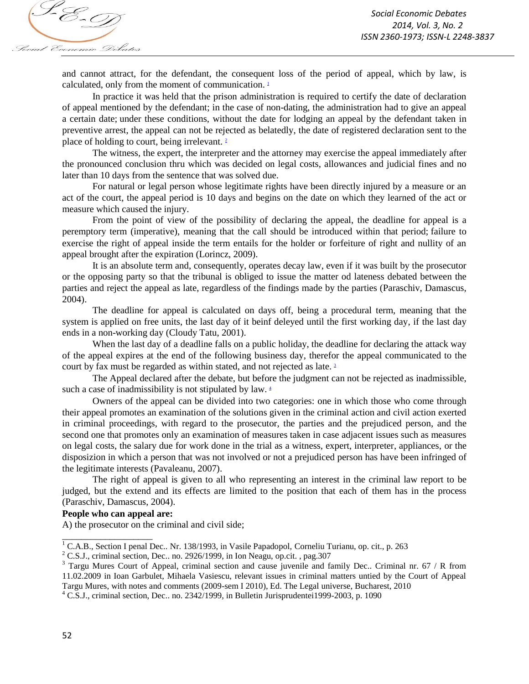

and cannot attract, for the defendant, the consequent loss of the period of appeal, which by law, is calculated, only from the moment of communication.  $\frac{1}{2}$ 

In practice it was held that the prison administration is required to certify the date of declaration of appeal mentioned by the defendant; in the case of non-dating, the administration had to give an appeal a certain date; under these conditions, without the date for lodging an appeal by the defendant taken in preventive arrest, the appeal can not be rejected as belatedly, the date of registered declaration sent to the place of holding to court, being irrelevant. <sup>2</sup>

The witness, the expert, the interpreter and the attorney may exercise the appeal immediately after the pronounced conclusion thru which was decided on legal costs, allowances and judicial fines and no later than 10 days from the sentence that was solved due.

For natural or legal person whose legitimate rights have been directly injured by a measure or an act of the court, the appeal period is 10 days and begins on the date on which they learned of the act or measure which caused the injury.

From the point of view of the possibility of declaring the appeal, the deadline for appeal is a peremptory term (imperative), meaning that the call should be introduced within that period; failure to exercise the right of appeal inside the term entails for the holder or forfeiture of right and nullity of an appeal brought after the expiration (Lorincz, 2009).

It is an absolute term and, consequently, operates decay law, even if it was built by the prosecutor or the opposing party so that the tribunal is obliged to issue the matter od lateness debated between the parties and reject the appeal as late, regardless of the findings made by the parties (Paraschiv, Damascus, 2004).

The deadline for appeal is calculated on days off, being a procedural term, meaning that the system is applied on free units, the last day of it beinf deleyed until the first working day, if the last day ends in a non-working day (Cloudy Tatu, 2001).

When the last day of a deadline falls on a public holiday, the deadline for declaring the attack way of the appeal expires at the end of the following business day, therefor the appeal communicated to the court by fax must be regarded as within stated, and not rejected as late.<sup>3</sup>

The Appeal declared after the debate, but before the judgment can not be rejected as inadmissible, such a case of inadmissibility is not stipulated by law.  $4$ 

Owners of the appeal can be divided into two categories: one in which those who come through their appeal promotes an examination of the solutions given in the criminal action and civil action exerted in criminal proceedings, with regard to the prosecutor, the parties and the prejudiced person, and the second one that promotes only an examination of measures taken in case adjacent issues such as measures on legal costs, the salary due for work done in the trial as a witness, expert, interpreter, appliances, or the disposizion in which a person that was not involved or not a prejudiced person has have been infringed of the legitimate interests (Pavaleanu, 2007).

The right of appeal is given to all who representing an interest in the criminal law report to be judged, but the extend and its effects are limited to the position that each of them has in the process (Paraschiv, Damascus, 2004).

## **People who can appeal are:**

\_\_\_\_\_\_\_\_\_\_\_\_\_\_\_\_\_\_\_

A) the prosecutor on the criminal and civil side;

<sup>&</sup>lt;sup>1</sup> C.A.B., Section I penal Dec.. Nr. 138/1993, in Vasile Papadopol, Corneliu Turianu, op. cit., p. 263

<sup>&</sup>lt;sup>2</sup> C.S.J., criminal section, Dec.. no. 2926/1999, in Ion Neagu, op.cit., pag.307

<sup>&</sup>lt;sup>3</sup> Targu Mures Court of Appeal, criminal section and cause juvenile and family Dec.. Criminal nr. 67 / R from 11.02.2009 in Ioan Garbulet, Mihaela Vasiescu, relevant issues in criminal matters untied by the Court of Appeal Targu Mures, with notes and comments (2009-sem I 2010), Ed. The Legal universe, Bucharest, 2010

<sup>4</sup> C.S.J., criminal section, Dec.. no. 2342/1999, in Bulletin Jurisprudentei1999-2003, p. 1090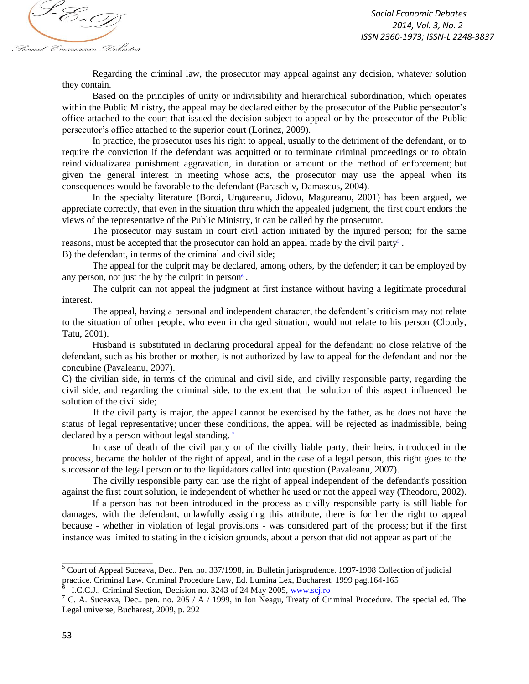

Regarding the criminal law, the prosecutor may appeal against any decision, whatever solution they contain.

Based on the principles of unity or indivisibility and hierarchical subordination, which operates within the Public Ministry, the appeal may be declared either by the prosecutor of the Public persecutor's office attached to the court that issued the decision subject to appeal or by the prosecutor of the Public persecutor's office attached to the superior court (Lorincz, 2009).

In practice, the prosecutor uses his right to appeal, usually to the detriment of the defendant, or to require the conviction if the defendant was acquitted or to terminate criminal proceedings or to obtain reindividualizarea punishment aggravation, in duration or amount or the method of enforcement; but given the general interest in meeting whose acts, the prosecutor may use the appeal when its consequences would be favorable to the defendant (Paraschiv, Damascus, 2004).

In the specialty literature (Boroi, Ungureanu, Jidovu, Magureanu, 2001) has been argued, we appreciate correctly, that even in the situation thru which the appealed judgment, the first court endors the views of the representative of the Public Ministry, it can be called by the prosecutor.

The prosecutor may sustain in court civil action initiated by the injured person; for the same reasons, must be accepted that the prosecutor can hold an appeal made by the civil party<sup> $\delta$ </sup>.

B) the defendant, in terms of the criminal and civil side;

The appeal for the culprit may be declared, among others, by the defender; it can be employed by any person, not just the by the culprit in person<sup>6</sup>.

The culprit can not appeal the judgment at first instance without having a legitimate procedural interest.

The appeal, having a personal and independent character, the defendent's criticism may not relate to the situation of other people, who even in changed situation, would not relate to his person (Cloudy, Tatu, 2001).

Husband is substituted in declaring procedural appeal for the defendant; no close relative of the defendant, such as his brother or mother, is not authorized by law to appeal for the defendant and nor the concubine (Pavaleanu, 2007).

C) the civilian side, in terms of the criminal and civil side, and civilly responsible party, regarding the civil side, and regarding the criminal side, to the extent that the solution of this aspect influenced the solution of the civil side;

If the civil party is major, the appeal cannot be exercised by the father, as he does not have the status of legal representative; under these conditions, the appeal will be rejected as inadmissible, being declared by a person without legal standing.<sup>1</sup>

In case of death of the civil party or of the civilly liable party, their heirs, introduced in the process, became the holder of the right of appeal, and in the case of a legal person, this right goes to the successor of the legal person or to the liquidators called into question (Pavaleanu, 2007).

The civilly responsible party can use the right of appeal independent of the defendant's possition against the first court solution, ie independent of whether he used or not the appeal way (Theodoru, 2002).

If a person has not been introduced in the process as civilly responsible party is still liable for damages, with the defendant, unlawfully assigning this attribute, there is for her the right to appeal because - whether in violation of legal provisions - was considered part of the process; but if the first instance was limited to stating in the dicision grounds, about a person that did not appear as part of the

\_\_\_\_\_\_\_\_\_\_\_\_\_\_\_\_\_\_\_

<sup>5</sup> Court of Appeal Suceava, Dec.. Pen. no. 337/1998, in. Bulletin jurisprudence. 1997-1998 Collection of judicial practice. Criminal Law. Criminal Procedure Law, Ed. Lumina Lex, Bucharest, 1999 pag.164-165

I.C.C.J., Criminal Section, Decision no. 3243 of 24 May 2005, www.scj.ro

 $7$  C. A. Suceava, Dec.. pen. no. 205 / A / 1999, in Ion Neagu, Treaty of Criminal Procedure. The special ed. The Legal universe, Bucharest, 2009, p. 292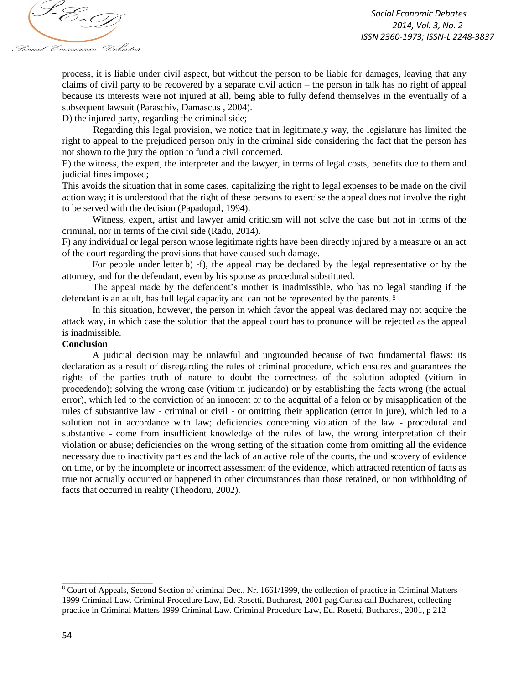

process, it is liable under civil aspect, but without the person to be liable for damages, leaving that any claims of civil party to be recovered by a separate civil action – the person in talk has no right of appeal because its interests were not injured at all, being able to fully defend themselves in the eventually of a subsequent lawsuit (Paraschiv, Damascus , 2004).

D) the injured party, regarding the criminal side;

Regarding this legal provision, we notice that in legitimately way, the legislature has limited the right to appeal to the prejudiced person only in the criminal side considering the fact that the person has not shown to the jury the option to fund a civil concerned.

E) the witness, the expert, the interpreter and the lawyer, in terms of legal costs, benefits due to them and judicial fines imposed;

This avoids the situation that in some cases, capitalizing the right to legal expenses to be made on the civil action way; it is understood that the right of these persons to exercise the appeal does not involve the right to be served with the decision (Papadopol, 1994).

Witness, expert, artist and lawyer amid criticism will not solve the case but not in terms of the criminal, nor in terms of the civil side (Radu, 2014).

F) any individual or legal person whose legitimate rights have been directly injured by a measure or an act of the court regarding the provisions that have caused such damage.

For people under letter b) -f), the appeal may be declared by the legal representative or by the attorney, and for the defendant, even by his spouse as procedural substituted.

The appeal made by the defendent's mother is inadmissible, who has no legal standing if the defendant is an adult, has full legal capacity and can not be represented by the parents.<sup>8</sup>

In this situation, however, the person in which favor the appeal was declared may not acquire the attack way, in which case the solution that the appeal court has to pronunce will be rejected as the appeal is inadmissible.

#### **Conclusion**

A judicial decision may be unlawful and ungrounded because of two fundamental flaws: its declaration as a result of disregarding the rules of criminal procedure, which ensures and guarantees the rights of the parties truth of nature to doubt the correctness of the solution adopted (vitium in procedendo); solving the wrong case (vitium in judicando) or by establishing the facts wrong (the actual error), which led to the conviction of an innocent or to the acquittal of a felon or by misapplication of the rules of substantive law - criminal or civil - or omitting their application (error in jure), which led to a solution not in accordance with law; deficiencies concerning violation of the law - procedural and substantive - come from insufficient knowledge of the rules of law, the wrong interpretation of their violation or abuse; deficiencies on the wrong setting of the situation come from omitting all the evidence necessary due to inactivity parties and the lack of an active role of the courts, the undiscovery of evidence on time, or by the incomplete or incorrect assessment of the evidence, which attracted retention of facts as true not actually occurred or happened in other circumstances than those retained, or non withholding of facts that occurred in reality (Theodoru, 2002).

\_\_\_\_\_\_\_\_\_\_\_\_\_\_\_\_\_\_\_

 $8$  Court of Appeals, Second Section of criminal Dec.. Nr. 1661/1999, the collection of practice in Criminal Matters 1999 Criminal Law. Criminal Procedure Law, Ed. Rosetti, Bucharest, 2001 pag.Curtea call Bucharest, collecting practice in Criminal Matters 1999 Criminal Law. Criminal Procedure Law, Ed. Rosetti, Bucharest, 2001, p 212